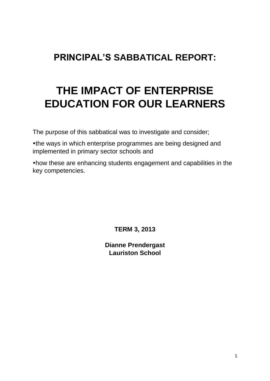## **PRINCIPAL'S SABBATICAL REPORT:**

# **THE IMPACT OF ENTERPRISE EDUCATION FOR OUR LEARNERS**

The purpose of this sabbatical was to investigate and consider;

the ways in which enterprise programmes are being designed and implemented in primary sector schools and

how these are enhancing students engagement and capabilities in the key competencies.

**TERM 3, 2013**

**Dianne Prendergast Lauriston School**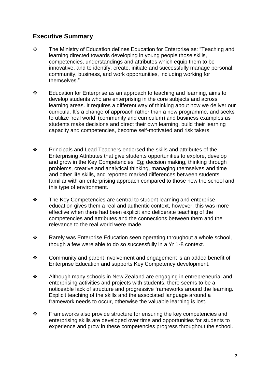## **Executive Summary**

- The Ministry of Education defines Education for Enterprise as: "Teaching and learning directed towards developing in young people those skills, competencies, understandings and attributes which equip them to be innovative, and to identify, create, initiate and successfully manage personal, community, business, and work opportunities, including working for themselves."
- $\div$  Education for Enterprise as an approach to teaching and learning, aims to develop students who are enterprising in the core subjects and across learning areas. It requires a different way of thinking about how we deliver our curricula. It's a change of approach rather than a new programme, and seeks to utilize 'real world' (community and curriculum) and business examples as students make decisions and direct their own learning, build their learning capacity and competencies, become self-motivated and risk takers.
- $\mathbf{\hat{P}}$  Principals and Lead Teachers endorsed the skills and attributes of the Enterprising Attributes that give students opportunities to explore, develop and grow in the Key Competencies. Eg; decision making, thinking through problems, creative and analytical thinking, managing themselves and time and other life skills, and reported marked differences between students familiar with an enterprising approach compared to those new the school and this type of environment.
- $\cdot \cdot$  The Key Competencies are central to student learning and enterprise education gives them a real and authentic context, however, this was more effective when there had been explicit and deliberate teaching of the competencies and attributes and the connections between them and the relevance to the real world were made.
- \* Rarely was Enterprise Education seen operating throughout a whole school, though a few were able to do so successfully in a Yr 1-8 context.
- $\cdot \cdot$  Community and parent involvement and engagement is an added benefit of Enterprise Education and supports Key Competency development.
- Although many schools in New Zealand are engaging in entrepreneurial and enterprising activities and projects with students, there seems to be a noticeable lack of structure and progressive frameworks around the learning. Explicit teaching of the skills and the associated language around a framework needs to occur, otherwise the valuable learning is lost.
- $\mathbf{\hat{P}}$  Frameworks also provide structure for ensuring the key competencies and enterprising skills are developed over time and opportunities for students to experience and grow in these competencies progress throughout the school.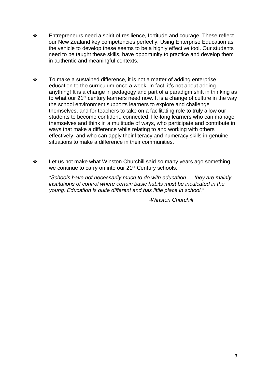- $\div$  Entrepreneurs need a spirit of resilience, fortitude and courage. These reflect our New Zealand key competencies perfectly. Using Enterprise Education as the vehicle to develop these seems to be a highly effective tool. Our students need to be taught these skills, have opportunity to practice and develop them in authentic and meaningful contexts.
- $\div$  To make a sustained difference, it is not a matter of adding enterprise education to the curriculum once a week. In fact, it's not about adding anything! It is a change in pedagogy and part of a paradigm shift in thinking as to what our 21<sup>st</sup> century learners need now. It is a change of culture in the way the school environment supports learners to explore and challenge themselves, and for teachers to take on a facilitating role to truly allow our students to become confident, connected, life-long learners who can manage themselves and think in a multitude of ways, who participate and contribute in ways that make a difference while relating to and working with others effectively, and who can apply their literacy and numeracy skills in genuine situations to make a difference in their communities.
- $\div$  Let us not make what Winston Churchill said so many years ago something we continue to carry on into our 21<sup>st</sup> Century schools.

*"Schools have not necessarily much to do with education … they are mainly institutions of control where certain basic habits must be inculcated in the young. Education is quite different and has little place in school."*

 *-Winston Churchill*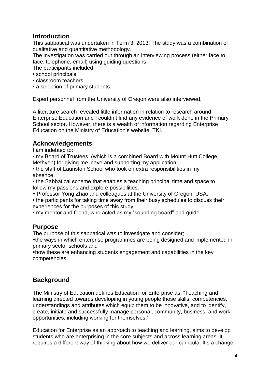## **Introduction**

This sabbatical was undertaken in Term 3, 2013. The study was a combination of qualitative and quantitative methodology.

The investigation was carried out through an interviewing process (either face to face, telephone, email) using guiding questions.

The participants included:

- school principals
- classroom teachers
- a selection of primary students

Expert personnel from the University of Oregon were also interviewed.

A literature search revealed little information in relation to research around Enterprise Education and I couldn't find any evidence of work done in the Primary School sector. However, there is a wealth of information regarding Enterprise Education on the Ministry of Education's website, TKI.

#### **Acknowledgements**

I am indebted to:

• my Board of Trustees, (which is a combined Board with Mount Hutt College Methven) for giving me leave and supporting my application.

• the staff of Lauriston School who took on extra responsibilities in my absence.

- the Sabbatical scheme that enables a teaching principal time and space to follow my passions and explore possibilities.
- Professor Yong Zhao and colleagues at the University of Oregon, USA.

• the participants for taking time away from their busy schedules to discuss their experiences for the purposes of this study.

• my mentor and friend, who acted as my "sounding board" and guide.

## **Purpose**

The purpose of this sabbatical was to investigate and consider;

the ways in which enterprise programmes are being designed and implemented in primary sector schools and

how these are enhancing students engagement and capabilities in the key competencies.

## **Background**

The Ministry of Education defines Education for Enterprise as: "Teaching and learning directed towards developing in young people those skills, competencies, understandings and attributes which equip them to be innovative, and to identify, create, initiate and successfully manage personal, community, business, and work opportunities, including working for themselves."

Education for Enterprise as an approach to teaching and learning, aims to develop students who are enterprising in the core subjects and across learning areas. It requires a different way of thinking about how we deliver our curricula. It's a change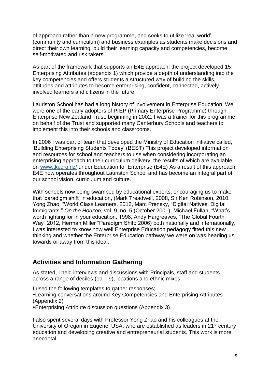of approach rather than a new programme, and seeks to utilize 'real world' (community and curriculum) and business examples as students make decisions and direct their own learning, build their learning capacity and competencies, become self-motivated and risk takers.

As part of the framework that supports an E4E approach, the project developed 15 Enterprising Attributes (appendix 1) which provide a depth of understanding into the key competencies and offers students a structured way of building the skills, attitudes and attributes to become enterprising, confident, connected, actively involved learners and citizens in the future.

Lauriston School has had a long history of involvement in Enterprise Education. We were one of the early adopters of PrEP (Primary Enterprise Programme) through Enterprise New Zealand Trust, beginning in 2002. I was a trainer for this programme on behalf of the Trust and supported many Canterbury Schools and teachers to implement this into their schools and classrooms.

In 2006 I was part of team that developed the Ministry of Education initiative called, 'Building Enterprising Students Today' (BEST) This project developed information and resources for school and teachers to use when considering incorporating an enterprising approach to their curriculum delivery, the results of which are available on [www.tki.org.nz/](http://www.tki.org.nz/) under Education for Enterprise (E4E) As a result of this approach, E4E now operates throughout Lauriston School and has become an integral part of our school vision, curriculum and culture.

With schools now being swamped by educational experts, encouraging us to make that 'paradigm shift' in education, (Mark Treadwell, 2008, Sir Ken Robinson, 2010, Yong Zhao, "World Class Learners, 2012, Marc Prensky, "Digital Natives, Digital Immigrants." *On the Horizon*, vol. 9, no. 5 (October 2001), Michael Fullan, "What's worth fighting for in your education, 1998, Andy Hargreaves, "The Global Fourth Way" 2012, Herman Miller "Paradigm Shift: 2006) both nationally and internationally, I was interested to know how well Enterprise Education pedagogy fitted this new thinking and whether the Enterprise Education pathway we were on was heading us towards or away from this ideal.

## **Activities and Information Gathering**

As stated, I held interviews and discussions with Principals, staff and students across a range of deciles  $(1a - 9)$ , locations and ethnic mixes.

I used the following templates to gather responses;

Learning conversations around Key Competencies and Enterprising Attributes (Appendix 2)

Enterprising Attribute discussion questions (Appendix 3)

I also spent several days with Professor Yong Zhao and his colleagues at the University of Oregon in Eugene, USA, who are established as leaders in 21<sup>st</sup> century education and developing creative and entrepreneurial students. This work is more anecdotal.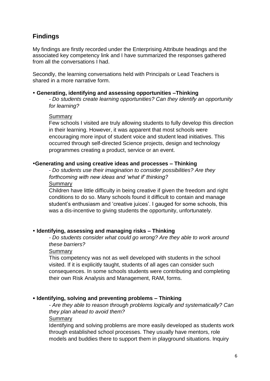## **Findings**

My findings are firstly recorded under the Enterprising Attribute headings and the associated key competency link and I have summarized the responses gathered from all the conversations I had.

Secondly, the learning conversations held with Principals or Lead Teachers is shared in a more narrative form.

#### **Generating, identifying and assessing opportunities –Thinking**

*- Do students create learning opportunities? Can they identify an opportunity for learning?*

#### **Summary**

Few schools I visited are truly allowing students to fully develop this direction in their learning. However, it was apparent that most schools were encouraging more input of student voice and student lead initiatives. This occurred through self-directed Science projects, design and technology programmes creating a product, service or an event.

#### **Generating and using creative ideas and processes – Thinking**

- *Do students use their imagination to consider possibilities? Are they forthcoming with new ideas and 'what if' thinking?* Summary

Children have little difficulty in being creative if given the freedom and right conditions to do so. Many schools found it difficult to contain and manage student's enthusiasm and 'creative juices'. I gauged for some schools, this was a dis-incentive to giving students the opportunity, unfortunately.

#### **Identifying, assessing and managing risks – Thinking**

*- Do students consider what could go wrong? Are they able to work around these barriers?*

Summary

This competency was not as well developed with students in the school visited. If it is explicitly taught, students of all ages can consider such consequences. In some schools students were contributing and completing their own Risk Analysis and Management, RAM, forms.

#### **Identifying, solving and preventing problems – Thinking**

*- Are they able to reason through problems logically and systematically? Can they plan ahead to avoid them?*

**Summary** 

Identifying and solving problems are more easily developed as students work through established school processes. They usually have mentors, role models and buddies there to support them in playground situations. Inquiry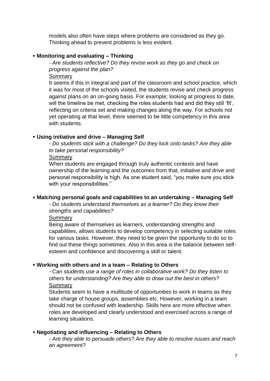models also often have steps where problems are considered as they go. Thinking ahead to prevent problems is less evident.

#### **Monitoring and evaluating – Thinking**

*- Are students reflective? Do they revise work as they go and check on progress against the plan?*

Summary

It seems if this in integral and part of the classroom and school practice, which it was for most of the schools visited, the students revise and check progress against plans on an on-going basis. For example; looking at progress to date, will the timeline be met, checking the roles students had and did they still 'fit', reflecting on criteria set and making changes along the way. For schools not yet operating at that level, there seemed to be little competency in this area with students.

#### **Using initiative and drive – Managing Self**

*- Do students stick with a challenge? Do they lock onto tasks? Are they able to take personal responsibility?*

#### **Summary**

When students are engaged through truly authentic contexts and have ownership of the learning and the outcomes from that, initiative and drive and personal responsibility is high. As one student said, "you make sure you stick with your responsibilities."

#### **Matching personal goals and capabilities to an undertaking – Managing Self**

*- Do students understand themselves as a learner? Do they know their strengths and capabilities?*

**Summary** 

Being aware of themselves as learners, understanding strengths and capabilities, allows students to develop competency in selecting suitable roles for various tasks. However, they need to be given the opportunity to do so to find out these things sometimes. Also in this area is the balance between selfesteem and confidence and discovering a skill or talent.

#### **Working with others and in a team – Relating to Others**

*- Can students use a range of roles in collaborative work? Do they listen to others for understanding? Are they able to draw out the best in others?* **Summary** 

Students seem to have a multitude of opportunities to work in teams as they take charge of house groups, assemblies etc. However, working in a team should not be confused with leadership. Skills here are more effective when roles are developed and clearly understood and exercised across a range of learning situations.

#### **Negotiating and influencing – Relating to Others**

*- Are they able to persuade others? Are they able to resolve issues and reach an agreement?*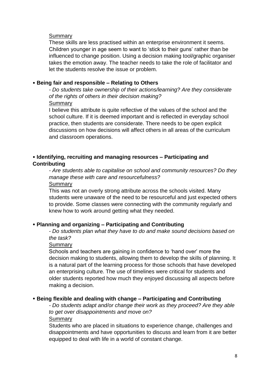#### Summary

These skills are less practised within an enterprise environment it seems. Children younger in age seem to want to 'stick to their guns' rather than be influenced to change position. Using a decision making tool/graphic organiser takes the emotion away. The teacher needs to take the role of facilitator and let the students resolve the issue or problem.

#### **Being fair and responsible – Relating to Others**

*- Do students take ownership of their actions/learning? Are they considerate of the rights of others in their decision making?* **Summary** 

I believe this attribute is quite reflective of the values of the school and the school culture. If it is deemed important and is reflected in everyday school practice, then students are considerate. There needs to be open explicit discussions on how decisions will affect others in all areas of the curriculum and classroom operations.

#### **Identifying, recruiting and managing resources – Participating and Contributing**

*- Are students able to capitalise on school and community resources? Do they manage these with care and resourcefulness?*

Summary

This was not an overly strong attribute across the schools visited. Many students were unaware of the need to be resourceful and just expected others to provide. Some classes were connecting with the community regularly and knew how to work around getting what they needed.

#### **Planning and organizing – Participating and Contributing**

*- Do students plan what they have to do and make sound decisions based on the task?*

Summary

Schools and teachers are gaining in confidence to 'hand over' more the decision making to students, allowing them to develop the skills of planning. It is a natural part of the learning process for those schools that have developed an enterprising culture. The use of timelines were critical for students and older students reported how much they enjoyed discussing all aspects before making a decision.

#### **Being flexible and dealing with change – Participating and Contributing**

*- Do students adapt and/or change their work as they proceed? Are they able to get over disappointments and move on?*

**Summary** 

Students who are placed in situations to experience change, challenges and disappointments and have opportunities to discuss and learn from it are better equipped to deal with life in a world of constant change.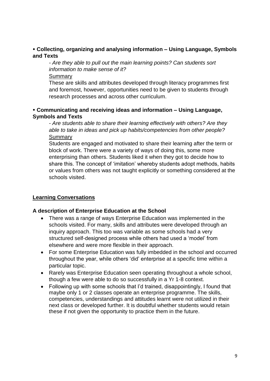#### **Collecting, organizing and analysing information – Using Language, Symbols and Texts**

*- Are they able to pull out the main learning points? Can students sort information to make sense of it?*

Summary

These are skills and attributes developed through literacy programmes first and foremost, however, opportunities need to be given to students through research processes and across other curriculum.

#### **Communicating and receiving ideas and information – Using Language, Symbols and Texts**

*- Are students able to share their learning effectively with others? Are they able to take in ideas and pick up habits/competencies from other people?* **Summary** 

Students are engaged and motivated to share their learning after the term or block of work. There were a variety of ways of doing this, some more enterprising than others. Students liked it when they got to decide how to share this. The concept of 'imitation' whereby students adopt methods, habits or values from others was not taught explicitly or something considered at the schools visited.

### **Learning Conversations**

#### **A description of Enterprise Education at the School**

- There was a range of ways Enterprise Education was implemented in the schools visited. For many, skills and attributes were developed through an inquiry approach. This too was variable as some schools had a very structured self-designed process while others had used a 'model' from elsewhere and were more flexible in their approach.
- For some Enterprise Education was fully imbedded in the school and occurred throughout the year, while others 'did' enterprise at a specific time within a particular topic.
- Rarely was Enterprise Education seen operating throughout a whole school, though a few were able to do so successfully in a Yr 1-8 context.
- Following up with some schools that I'd trained, disappointingly, I found that maybe only 1 or 2 classes operate an enterprise programme. The skills, competencies, understandings and attitudes learnt were not utilized in their next class or developed further. It is doubtful whether students would retain these if not given the opportunity to practice them in the future.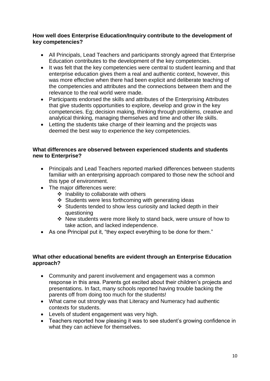#### **How well does Enterprise Education/Inquiry contribute to the development of key competencies?**

- All Principals, Lead Teachers and participants strongly agreed that Enterprise Education contributes to the development of the key competencies.
- It was felt that the key competencies were central to student learning and that enterprise education gives them a real and authentic context, however, this was more effective when there had been explicit and deliberate teaching of the competencies and attributes and the connections between them and the relevance to the real world were made.
- Participants endorsed the skills and attributes of the Enterprising Attributes that give students opportunities to explore, develop and grow in the key competencies. Eg; decision making, thinking through problems, creative and analytical thinking, managing themselves and time and other life skills.
- Letting the students take charge of their learning and the projects was deemed the best way to experience the key competencies.

#### **What differences are observed between experienced students and students new to Enterprise?**

- Principals and Lead Teachers reported marked differences between students familiar with an enterprising approach compared to those new the school and this type of environment.
- The major differences were:
	- $\div$  Inability to collaborate with others
	- $\div$  Students were less forthcoming with generating ideas
	- Students tended to show less curiosity and lacked depth in their questioning
	- New students were more likely to stand back, were unsure of how to take action, and lacked independence.
- As one Principal put it, "they expect everything to be done for them."

#### **What other educational benefits are evident through an Enterprise Education approach?**

- Community and parent involvement and engagement was a common response in this area. Parents got excited about their children's projects and presentations. In fact, many schools reported having trouble backing the parents off from doing too much for the students!
- What came out strongly was that Literacy and Numeracy had authentic contexts for students.
- Levels of student engagement was very high.
- Teachers reported how pleasing it was to see student's growing confidence in what they can achieve for themselves.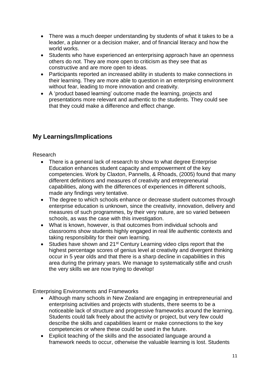- There was a much deeper understanding by students of what it takes to be a leader, a planner or a decision maker, and of financial literacy and how the world works.
- Students who have experienced an enterprising approach have an openness others do not. They are more open to criticism as they see that as constructive and are more open to ideas.
- Participants reported an increased ability in students to make connections in their learning. They are more able to question in an enterprising environment without fear, leading to more innovation and creativity.
- A 'product based learning' outcome made the learning, projects and presentations more relevant and authentic to the students. They could see that they could make a difference and effect change.

## **My Learnings/Implications**

#### Research

- There is a general lack of research to show to what degree Enterprise Education enhances student capacity and empowerment of the key competencies. Work by Claxton, Pannells, & Rhoads, (2005) found that many different definitions and measures of creativity and entrepreneurial capabilities, along with the differences of experiences in different schools, made any findings very tentative.
- The degree to which schools enhance or decrease student outcomes through enterprise education is unknown, since the creativity, innovation, delivery and measures of such programmes, by their very nature, are so varied between schools, as was the case with this investigation.
- What is known, however, is that outcomes from individual schools and classrooms show students highly engaged in real life authentic contexts and taking responsibility for their own learning.
- Studies have shown and 21<sup>st</sup> Century Learning video clips report that the highest percentage scores of genius level at creativity and divergent thinking occur in 5 year olds and that there is a sharp decline in capabilities in this area during the primary years. We manage to systematically stifle and crush the very skills we are now trying to develop!

Enterprising Environments and Frameworks

- Although many schools in New Zealand are engaging in entrepreneurial and enterprising activities and projects with students, there seems to be a noticeable lack of structure and progressive frameworks around the learning. Students could talk freely about the activity or project, but very few could describe the skills and capabilities learnt or make connections to the key competencies or where these could be used in the future.
- Explicit teaching of the skills and the associated language around a framework needs to occur, otherwise the valuable learning is lost. Students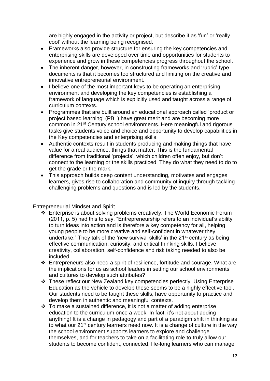are highly engaged in the activity or project, but describe it as 'fun' or 'really cool' without the learning being recognised.

- Frameworks also provide structure for ensuring the key competencies and enterprising skills are developed over time and opportunities for students to experience and grow in these competencies progress throughout the school.
- The inherent danger, however, in constructing frameworks and 'rubric' type documents is that it becomes too structured and limiting on the creative and innovative entrepreneurial environment.
- I believe one of the most important keys to be operating an enterprising environment and developing the key competencies is establishing a framework of language which is explicitly used and taught across a range of curriculum contexts.
- Programmes that are built around an educational approach called 'product or project based learning' (PBL) have great merit and are becoming more common in 21st Century school environments. Here meaningful and rigorous tasks give students voice and choice and opportunity to develop capabilities in the Key competencies and enterprising skills.
- Authentic contexts result in students producing and making things that have value for a real audience, things that matter. This is the fundamental difference from traditional 'projects', which children often enjoy, but don't connect to the learning or the skills practiced. They do what they need to do to get the grade or the mark.
- This approach builds deep content understanding, motivates and engages learners, gives rise to collaboration and community of inquiry through tackling challenging problems and questions and is led by the students.

Entrepreneurial Mindset and Spirit

- Enterprise is about solving problems creatively. The World Economic Forum (2011, p. 5) had this to say, "Entrepreneurship refers to an individual's ability to turn ideas into action and is therefore a key competency for all, helping young people to be more creative and self-confident in whatever they undertake." They talk of the 'new survival skills' in the 21<sup>st</sup> century as being effective communication, curiosity, and critical thinking skills. I believe creativity, collaboration, self-confidence and risk taking needed to also be included.
- $\div$  Entrepreneurs also need a spirit of resilience, fortitude and courage. What are the implications for us as school leaders in setting our school environments and cultures to develop such attributes?
- These reflect our New Zealand key competencies perfectly. Using Enterprise Education as the vehicle to develop these seems to be a highly effective tool. Our students need to be taught these skills, have opportunity to practice and develop them in authentic and meaningful contexts.
- $\div$  To make a sustained difference, it is not a matter of adding enterprise education to the curriculum once a week. In fact, it's not about adding anything! It is a change in pedagogy and part of a paradigm shift in thinking as to what our 21<sup>st</sup> century learners need now. It is a change of culture in the way the school environment supports learners to explore and challenge themselves, and for teachers to take on a facilitating role to truly allow our students to become confident, connected, life-long learners who can manage